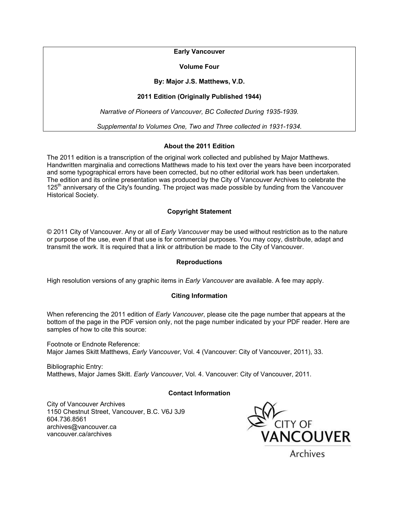**Early Vancouver** 

**Volume Four** 

### **By: Major J.S. Matthews, V.D.**

# **2011 Edition (Originally Published 1944)**

*Narrative of Pioneers of Vancouver, BC Collected During 1935-1939.* 

*Supplemental to Volumes One, Two and Three collected in 1931-1934.* 

## **About the 2011 Edition**

The 2011 edition is a transcription of the original work collected and published by Major Matthews. Handwritten marginalia and corrections Matthews made to his text over the years have been incorporated and some typographical errors have been corrected, but no other editorial work has been undertaken. The edition and its online presentation was produced by the City of Vancouver Archives to celebrate the  $125<sup>th</sup>$  anniversary of the City's founding. The project was made possible by funding from the Vancouver Historical Society.

## **Copyright Statement**

© 2011 City of Vancouver. Any or all of *Early Vancouver* may be used without restriction as to the nature or purpose of the use, even if that use is for commercial purposes. You may copy, distribute, adapt and transmit the work. It is required that a link or attribution be made to the City of Vancouver.

## **Reproductions**

High resolution versions of any graphic items in *Early Vancouver* are available. A fee may apply.

## **Citing Information**

When referencing the 2011 edition of *Early Vancouver*, please cite the page number that appears at the bottom of the page in the PDF version only, not the page number indicated by your PDF reader. Here are samples of how to cite this source:

Footnote or Endnote Reference: Major James Skitt Matthews, *Early Vancouver*, Vol. 4 (Vancouver: City of Vancouver, 2011), 33.

Bibliographic Entry: Matthews, Major James Skitt. *Early Vancouver*, Vol. 4. Vancouver: City of Vancouver, 2011.

#### **Contact Information**

City of Vancouver Archives 1150 Chestnut Street, Vancouver, B.C. V6J 3J9 604.736.8561 archives@vancouver.ca vancouver.ca/archives